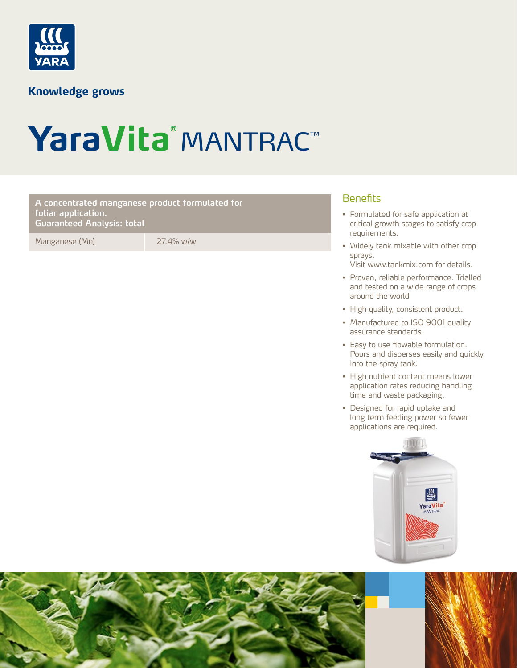

### **Knowledge grows**

# YaraVita® MANTRAC™

#### Benefits **A concentrated manganese product formulated for foliar application. Guaranteed Analysis: total**

Manganese (Mn) 27.4% w/w

- Formulated for safe application at critical growth stages to satisfy crop requirements.
- Widely tank mixable with other crop sprays.
	- Visit www.tankmix.com for details.
- Proven, reliable performance. Trialled and tested on a wide range of crops around the world
- High quality, consistent product.
- Manufactured to ISO 9001 quality assurance standards.
- Easy to use flowable formulation. Pours and disperses easily and quickly into the spray tank.
- High nutrient content means lower application rates reducing handling time and waste packaging.
- Designed for rapid uptake and long term feeding power so fewer applications are required.